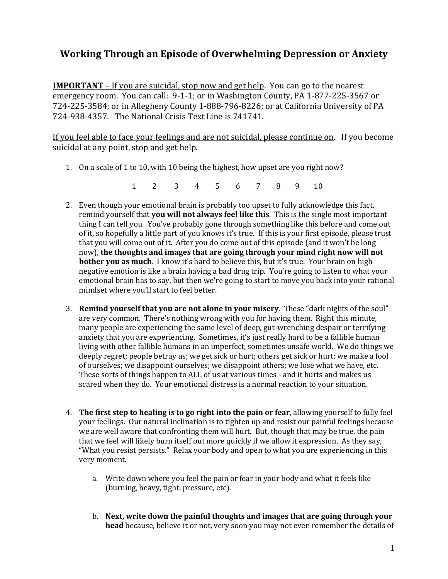# **Working Through an Episode of Overwhelming Depression or Anxiety**

**IMPORTANT** – If you are suicidal, stop now and get help. You can go to the nearest emergency room. You can call: 9-1-1; or in Washington County, PA 1-877-225-3567 or 724-225-3584; or in Allegheny County 1-888-796-8226; or at California University of PA 724-938-4357. The National Crisis Text Line is 741741.

If you feel able to face your feelings and are not suicidal, please continue on. If you become suicidal at any point, stop and get help.

1. On a scale of 1 to 10, with 10 being the highest, how upset are you right now?

1 2 3 4 5 6 7 8 9 10

- 2. Even though your emotional brain is probably too upset to fully acknowledge this fact, remind yourself that **you will not always feel like this**. This is the single most important thing I can tell you. You've probably gone through something like this before and come out of it, so hopefully a little part of you knows it's true. If this is your first episode, please trust that you will come out of it. After you do come out of this episode (and it won't be long now), the thoughts and images that are going through your mind right now will not **bother you as much**. I know it's hard to believe this, but it's true. Your brain on high negative emotion is like a brain having a bad drug trip. You're going to listen to what your emotional brain has to say, but then we're going to start to move you back into your rational mindset where you'll start to feel better.
- 3. **Remind yourself that you are not alone in your misery**. These "dark nights of the soul" are very common. There's nothing wrong with you for having them. Right this minute, many people are experiencing the same level of deep, gut-wrenching despair or terrifying anxiety that you are experiencing. Sometimes, it's just really hard to be a fallible human living with other fallible humans in an imperfect, sometimes unsafe world. We do things we deeply regret; people betray us; we get sick or hurt; others get sick or hurt; we make a fool of ourselves; we disappoint ourselves; we disappoint others; we lose what we have, etc. These sorts of things happen to ALL of us at various times - and it hurts and makes us scared when they do. Your emotional distress is a normal reaction to your situation.
- 4. **The first step to healing is to go right into the pain or fear, allowing yourself to fully feel** your feelings. Our natural inclination is to tighten up and resist our painful feelings because we are well aware that confronting them will hurt. But, though that may be true, the pain that we feel will likely burn itself out more quickly if we allow it expression. As they say, "What you resist persists." Relax your body and open to what you are experiencing in this very moment.
	- a. Write down where you feel the pain or fear in your body and what it feels like (burning, heavy, tight, pressure, etc).
	- b. Next, write down the painful thoughts and images that are going through your **head** because, believe it or not, very soon you may not even remember the details of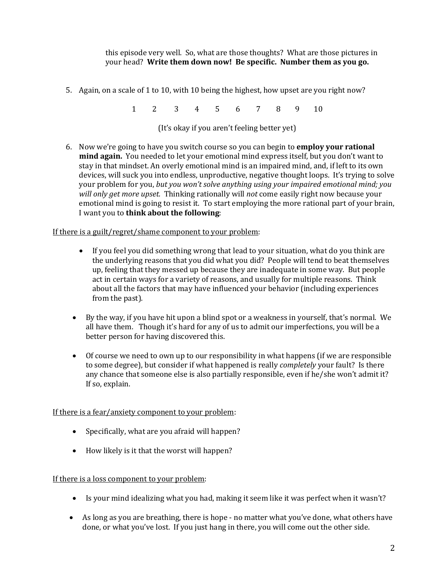this episode very well. So, what are those thoughts? What are those pictures in your head? Write them down now! Be specific. Number them as you go.

5. Again, on a scale of 1 to 10, with 10 being the highest, how upset are you right now?

1 2 3 4 5 6 7 8 9 10

(It's okay if you aren't feeling better yet)

6. Now we're going to have you switch course so you can begin to **employ your rational mind again.** You needed to let your emotional mind express itself, but you don't want to stay in that mindset. An overly emotional mind is an impaired mind, and, if left to its own devices, will suck you into endless, unproductive, negative thought loops. It's trying to solve your problem for you, *but you won't solve anything using your impaired emotional mind; you* will only get more upset. Thinking rationally will not come easily right now because your emotional mind is going to resist it. To start employing the more rational part of your brain, I want you to **think about the following**:

If there is a guilt/regret/shame component to your problem:

- If you feel you did something wrong that lead to your situation, what do you think are the underlying reasons that you did what you did? People will tend to beat themselves up, feeling that they messed up because they are inadequate in some way. But people act in certain ways for a variety of reasons, and usually for multiple reasons. Think about all the factors that may have influenced your behavior (including experiences from the past).
- By the way, if you have hit upon a blind spot or a weakness in yourself, that's normal. We all have them. Though it's hard for any of us to admit our imperfections, you will be a better person for having discovered this.
- Of course we need to own up to our responsibility in what happens (if we are responsible to some degree), but consider if what happened is really *completely* your fault? Is there any chance that someone else is also partially responsible, even if  $he/she$  won't admit it? If so, explain.

If there is a fear/anxiety component to your problem:

- Specifically, what are you afraid will happen?
- $\bullet$  How likely is it that the worst will happen?

## If there is a loss component to your problem:

- Is your mind idealizing what you had, making it seem like it was perfect when it wasn't?
- As long as you are breathing, there is hope no matter what you've done, what others have done, or what you've lost. If you just hang in there, you will come out the other side.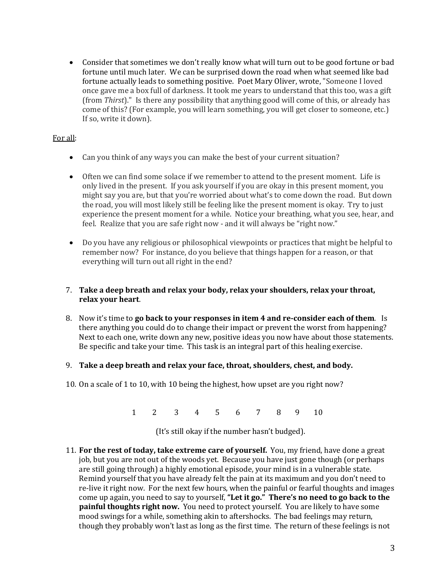• Consider that sometimes we don't really know what will turn out to be good fortune or bad fortune until much later. We can be surprised down the road when what seemed like bad fortune actually leads to something positive. Poet Mary Oliver, wrote, "Someone I loved once gave me a box full of darkness. It took me years to understand that this too, was a gift (from *Thirst*)." Is there any possibility that anything good will come of this, or already has come of this? (For example, you will learn something, you will get closer to someone, etc.) If so, write it down).

## For all:

- Can you think of any ways you can make the best of your current situation?
- Often we can find some solace if we remember to attend to the present moment. Life is only lived in the present. If you ask yourself if you are okay in this present moment, you might say you are, but that you're worried about what's to come down the road. But down the road, you will most likely still be feeling like the present moment is okay. Try to just experience the present moment for a while. Notice your breathing, what you see, hear, and feel. Realize that you are safe right now - and it will always be "right now."
- Do you have any religious or philosophical viewpoints or practices that might be helpful to remember now? For instance, do you believe that things happen for a reason, or that everything will turn out all right in the end?

### 7. **Take a deep breath and relax your body, relax your shoulders, relax your throat, relax your heart**.

8. Now it's time to **go back to your responses in item 4 and re-consider each of them.** Is there anything you could do to change their impact or prevent the worst from happening? Next to each one, write down any new, positive ideas you now have about those statements. Be specific and take your time. This task is an integral part of this healing exercise.

### 9. Take a deep breath and relax your face, throat, shoulders, chest, and body.

10. On a scale of 1 to 10, with 10 being the highest, how upset are you right now?

1 2 3 4 5 6 7 8 9 10

(It's still okay if the number hasn't budged).

11. For the rest of today, take extreme care of yourself. You, my friend, have done a great job, but you are not out of the woods yet. Because you have just gone though (or perhaps are still going through) a highly emotional episode, your mind is in a vulnerable state. Remind yourself that you have already felt the pain at its maximum and you don't need to re-live it right now. For the next few hours, when the painful or fearful thoughts and images come up again, you need to say to yourself, "Let it go." There's no need to go back to the **painful thoughts right now.** You need to protect yourself. You are likely to have some mood swings for a while, something akin to aftershocks. The bad feelings may return, though they probably won't last as long as the first time. The return of these feelings is not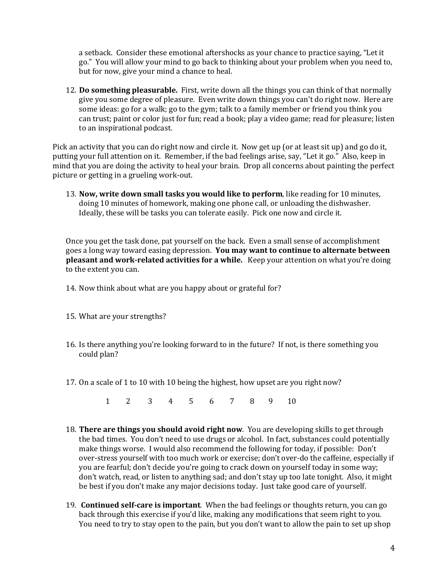a setback. Consider these emotional aftershocks as your chance to practice saying, "Let it go." You will allow your mind to go back to thinking about your problem when you need to, but for now, give your mind a chance to heal.

12. **Do something pleasurable.** First, write down all the things you can think of that normally give you some degree of pleasure. Even write down things you can't do right now. Here are some ideas: go for a walk; go to the gym; talk to a family member or friend you think you can trust; paint or color just for fun; read a book; play a video game; read for pleasure; listen to an inspirational podcast.

Pick an activity that you can do right now and circle it. Now get up (or at least sit up) and go do it, putting your full attention on it. Remember, if the bad feelings arise, say, "Let it go." Also, keep in mind that you are doing the activity to heal your brain. Drop all concerns about painting the perfect picture or getting in a grueling work-out.

13. Now, write down small tasks you would like to perform, like reading for 10 minutes, doing 10 minutes of homework, making one phone call, or unloading the dishwasher. Ideally, these will be tasks you can tolerate easily. Pick one now and circle it.

Once you get the task done, pat yourself on the back. Even a small sense of accomplishment goes a long way toward easing depression. You may want to continue to alternate between **pleasant and work-related activities for a while.** Keep your attention on what you're doing to the extent you can.

- 14. Now think about what are you happy about or grateful for?
- 15. What are your strengths?
- 16. Is there anything you're looking forward to in the future? If not, is there something you could plan?
- 17. On a scale of 1 to 10 with 10 being the highest, how upset are you right now?

1 2 3 4 5 6 7 8 9 10

- 18. **There are things you should avoid right now**. You are developing skills to get through the bad times. You don't need to use drugs or alcohol. In fact, substances could potentially make things worse. I would also recommend the following for today, if possible: Don't over-stress yourself with too much work or exercise; don't over-do the caffeine, especially if you are fearful; don't decide you're going to crack down on yourself today in some way; don't watch, read, or listen to anything sad; and don't stay up too late tonight. Also, it might be best if you don't make any major decisions today. Just take good care of yourself.
- 19. **Continued self-care is important**. When the bad feelings or thoughts return, you can go back through this exercise if you'd like, making any modifications that seem right to you. You need to try to stay open to the pain, but you don't want to allow the pain to set up shop